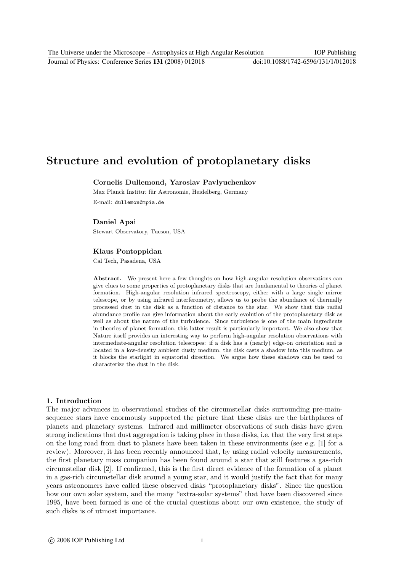Journal of Physics: Conference Series **131** (2008) 012018 doi:10.1088/1742-6596/131/1/012018

# Structure and evolution of protoplanetary disks

# Cornelis Dullemond, Yaroslav Pavlyuchenkov

Max Planck Institut für Astronomie, Heidelberg, Germany E-mail: dullemon@mpia.de

# Daniel Apai

Stewart Observatory, Tucson, USA

#### Klaus Pontoppidan

Cal Tech, Pasadena, USA

Abstract. We present here a few thoughts on how high-angular resolution observations can give clues to some properties of protoplanetary disks that are fundamental to theories of planet formation. High-angular resolution infrared spectroscopy, either with a large single mirror telescope, or by using infrared interferometry, allows us to probe the abundance of thermally processed dust in the disk as a function of distance to the star. We show that this radial abundance profile can give information about the early evolution of the protoplanetary disk as well as about the nature of the turbulence. Since turbulence is one of the main ingredients in theories of planet formation, this latter result is particularly important. We also show that Nature itself provides an interesting way to perform high-angular resolution observations with intermediate-angular resolution telescopes: if a disk has a (nearly) edge-on orientation and is located in a low-density ambient dusty medium, the disk casts a shadow into this medium, as it blocks the starlight in equatorial direction. We argue how these shadows can be used to characterize the dust in the disk.

### 1. Introduction

The major advances in observational studies of the circumstellar disks surrounding pre-mainsequence stars have enormously supported the picture that these disks are the birthplaces of planets and planetary systems. Infrared and millimeter observations of such disks have given strong indications that dust aggregation is taking place in these disks, i.e. that the very first steps on the long road from dust to planets have been taken in these environments (see e.g. [1] for a review). Moreover, it has been recently announced that, by using radial velocity measurements, the first planetary mass companion has been found around a star that still features a gas-rich circumstellar disk [2]. If confirmed, this is the first direct evidence of the formation of a planet in a gas-rich circumstellar disk around a young star, and it would justify the fact that for many years astronomers have called these observed disks "protoplanetary disks". Since the question how our own solar system, and the many "extra-solar systems" that have been discovered since 1995, have been formed is one of the crucial questions about our own existence, the study of such disks is of utmost importance.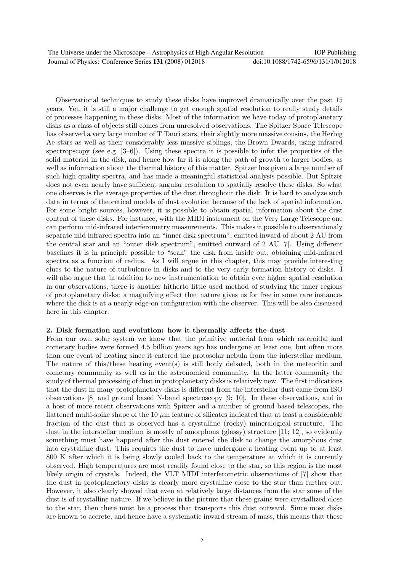| The Universe under the Microscope – Astrophysics at High Angular Resolution | <b>IOP</b> Publishing              |
|-----------------------------------------------------------------------------|------------------------------------|
| Journal of Physics: Conference Series 131 (2008) 012018                     | doi:10.1088/1742-6596/131/1/012018 |

Observational techniques to study these disks have improved dramatically over the past 15 years. Yet, it is still a major challenge to get enough spatial resolution to really study details of processes happening in these disks. Most of the information we have today of protoplanetary disks as a class of objects still comes from unresolved observations. The Spitzer Space Telescope has observed a very large number of T Tauri stars, their slightly more massive cousins, the Herbig Ae stars as well as their considerably less massive siblings, the Brown Dwards, using infrared spectropscopy (see e.g.  $[3-6]$ ). Using these spectra it is possible to infer the properties of the solid material in the disk, and hence how far it is along the path of growth to larger bodies, as well as information about the thermal history of this matter. Spitzer has given a large number of such high quality spectra, and has made a meaningful statistical analysis possible. But Spitzer does not even nearly have sufficient angular resolution to spatially resolve these disks. So what one observes is the average properties of the dust throughout the disk. It is hard to analyze such data in terms of theoretical models of dust evolution because of the lack of spatial information. For some bright sources, however, it is possible to obtain spatial information about the dust content of these disks. For instance, with the MIDI instrument on the Very Large Telescope one can perform mid-infrared interferometry measurements. This makes it possible to observationaly separate mid infrared spectra into an "inner disk spectrum", emitted inward of about 2 AU from the central star and an "outer disk spectrum", emitted outward of 2 AU [7]. Using different baselines it is in principle possible to "scan" the disk from inside out, obtaining mid-infrared spectra as a function of radius. As I will argue in this chapter, this may provide interesting clues to the nature of turbulence in disks and to the very early formation history of disks. I will also argue that in addition to new instrumentation to obtain ever higher spatial resolution in our observations, there is another hitherto little used method of studying the inner regions of protoplanetary disks: a magnifying effect that nature gives us for free in some rare instances where the disk is at a nearly edge-on configuration with the observer. This will be also discussed here in this chapter.

#### 2. Disk formation and evolution: how it thermally affects the dust

From our own solar system we know that the primitive material from which asteroidal and cometary bodies were formed 4.5 billion years ago has undergone at least one, but often more than one event of heating since it entered the protosolar nebula from the interstellar medium. The nature of this/these heating event(s) is still hotly debated, both in the meteoritic and cometary community as well as in the astronomical community. In the latter community the study of thermal processing of dust in protoplanetary disks is relatively new. The first indications that the dust in many protoplanetary disks is different from the interstellar dust came from ISO observations [8] and ground based N-band spectroscopy [9; 10]. In these observations, and in a host of more recent observations with Spitzer and a number of ground based telescopes, the flattened multi-spike shape of the 10  $\mu$ m feature of silicates indicated that at least a considerable fraction of the dust that is observed has a crystalline (rocky) mineralogical structure. The dust in the interstellar medium is mostly of amorphous (glassy) structure [11; 12], so evidently something must have happend after the dust entered the disk to change the amorphous dust into crystalline dust. This requires the dust to have undergone a heating event up to at least 800 K after which it is being slowly cooled back to the temperature at which it is currently observed. High temperatures are most readily found close to the star, so this region is the most likely origin of crystals. Indeed, the VLT MIDI interferometric observations of [7] show that the dust in protoplanetary disks is clearly more crystalline close to the star than further out. However, it also clearly showed that even at relatively large distances from the star some of the dust is of crystalline nature. If we believe in the picture that these grains were crystallized close to the star, then there must be a process that transports this dust outward. Since most disks are known to accrete, and hence have a systematic inward stream of mass, this means that these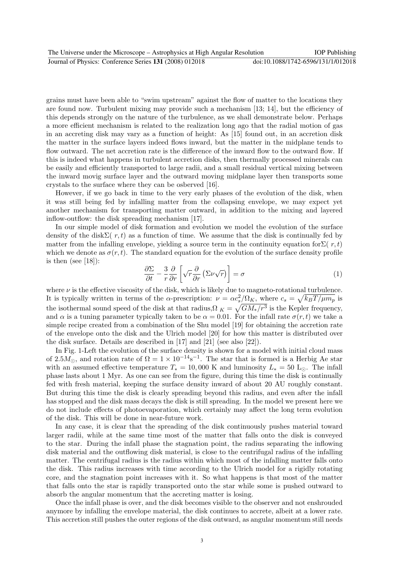grains must have been able to "swim upstream" against the flow of matter to the locations they are found now. Turbulent mixing may provide such a mechanism [13; 14], but the efficiency of this depends strongly on the nature of the turbulence, as we shall demonstrate below. Perhaps a more efficient mechanism is related to the realization long ago that the radial motion of gas in an accreting disk may vary as a function of height: As [15] found out, in an accretion disk the matter in the surface layers indeed flows inward, but the matter in the midplane tends to flow outward. The net accretion rate is the difference of the inward flow to the outward flow. If this is indeed what happens in turbulent accretion disks, then thermally processed minerals can be easily and efficiently transported to large radii, and a small residual vertical mixing between the inward movig surface layer and the outward moving midplane layer then transports some crystals to the surface where they can be osberved [16].

However, if we go back in time to the very early phases of the evolution of the disk, when it was still being fed by infalling matter from the collapsing envelope, we may expect yet another mechanism for transporting matter outward, in addition to the mixing and layered inflow-outflow: the disk spreading mechanism [17].

In our simple model of disk formation and evolution we model the evolution of the surface density of the disk $\Sigma(r, t)$  as a function of time. We assume that the disk is continually fed by matter from the infalling envelope, yielding a source term in the continuity equation for  $\Sigma(r, t)$ which we denote as  $\sigma(r, t)$ . The standard equation for the evolution of the surface density profile is then (see  $[18]$ ):

$$
\frac{\partial \Sigma}{\partial t} - \frac{3}{r} \frac{\partial}{\partial r} \left[ \sqrt{r} \frac{\partial}{\partial r} \left( \Sigma \nu \sqrt{r} \right) \right] = \sigma \tag{1}
$$

where  $\nu$  is the effective viscosity of the disk, which is likely due to magneto-rotational turbulence. It is typically written in terms of the  $\alpha$ -prescription:  $\nu = \alpha c_s^2 / \Omega_K$ , where  $c_s = \sqrt{k_B T / \mu m_p}$  is the isothermal sound speed of the disk at that radius,  $\Omega_K = \sqrt{GM_*/r^3}$  is the Kepler frequency, and  $\alpha$  is a tuning parameter typically taken to be  $\alpha = 0.01$ . For the infall rate  $\sigma(r, t)$  we take a simple recipe created from a combination of the Shu model [19] for obtaining the accretion rate of the envelope onto the disk and the Ulrich model [20] for how this matter is distributed over the disk surface. Details are described in [17] and [21] (see also [22]).

In Fig. 1-Left the evolution of the surface density is shown for a model with initial cloud mass of 2.5 $M_{\odot}$ , and rotation rate of  $\Omega = 1 \times 10^{-14}$ s<sup>-1</sup>. The star that is formed is a Herbig Ae star with an assumed effective temperature  $T_* = 10,000$  K and luminosity  $L_* = 50$  L<sub>☉</sub>. The infall phase lasts about 1 Myr. As one can see from the figure, during this time the disk is continually fed with fresh material, keeping the surface density inward of about 20 AU roughly constant. But during this time the disk is clearly spreading beyond this radius, and even after the infall has stopped and the disk mass decays the disk is still spreading. In the model we present here we do not include effects of photoevaporation, which certainly may affect the long term evolution of the disk. This will be done in near-future work.

In any case, it is clear that the spreading of the disk continuously pushes material toward larger radii, while at the same time most of the matter that falls onto the disk is conveyed to the star. During the infall phase the stagnation point, the radius separating the inflowing disk material and the outflowing disk material, is close to the centrifugal radius of the infalling matter. The centrifugal radius is the radius within which most of the infalling matter falls onto the disk. This radius increases with time according to the Ulrich model for a rigidly rotating core, and the stagnation point increases with it. So what happens is that most of the matter that falls onto the star is rapidly transported onto the star while some is pushed outward to absorb the angular momentum that the accreting matter is losing.

Once the infall phase is over, and the disk becomes visible to the observer and not enshrouded anymore by infalling the envelope material, the disk continues to accrete, albeit at a lower rate. This accretion still pushes the outer regions of the disk outward, as angular momentum still needs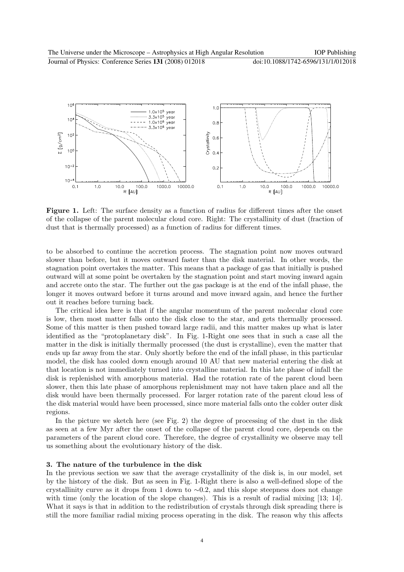

Figure 1. Left: The surface density as a function of radius for different times after the onset of the collapse of the parent molecular cloud core. Right: The crystallinity of dust (fraction of dust that is thermally processed) as a function of radius for different times.

to be absorbed to continue the accretion process. The stagnation point now moves outward slower than before, but it moves outward faster than the disk material. In other words, the stagnation point overtakes the matter. This means that a package of gas that initially is pushed outward will at some point be overtaken by the stagnation point and start moving inward again and accrete onto the star. The further out the gas package is at the end of the infall phase, the longer it moves outward before it turns around and move inward again, and hence the further out it reaches before turning back.

The critical idea here is that if the angular momentum of the parent molecular cloud core is low, then most matter falls onto the disk close to the star, and gets thermally processed. Some of this matter is then pushed toward large radii, and this matter makes up what is later identified as the "protoplanetary disk". In Fig. 1-Right one sees that in such a case all the matter in the disk is initially thermally processed (the dust is crystalline), even the matter that ends up far away from the star. Only shortly before the end of the infall phase, in this particular model, the disk has cooled down enough around 10 AU that new material entering the disk at that location is not immediately turned into crystalline material. In this late phase of infall the disk is replenished with amorphous material. Had the rotation rate of the parent cloud been slower, then this late phase of amorphous replenishment may not have taken place and all the disk would have been thermally processed. For larger rotation rate of the parent cloud less of the disk material would have been processed, since more material falls onto the colder outer disk regions.

In the picture we sketch here (see Fig. 2) the degree of processing of the dust in the disk as seen at a few Myr after the onset of the collapse of the parent cloud core, depends on the parameters of the parent cloud core. Therefore, the degree of crystallinity we observe may tell us something about the evolutionary history of the disk.

### 3. The nature of the turbulence in the disk

In the previous section we saw that the average crystallinity of the disk is, in our model, set by the history of the disk. But as seen in Fig. 1-Right there is also a well-defined slope of the crystallinity curve as it drops from 1 down to  $\sim$ 0.2, and this slope steepness does not change with time (only the location of the slope changes). This is a result of radial mixing [13; 14]. What it says is that in addition to the redistribution of crystals through disk spreading there is still the more familiar radial mixing process operating in the disk. The reason why this affects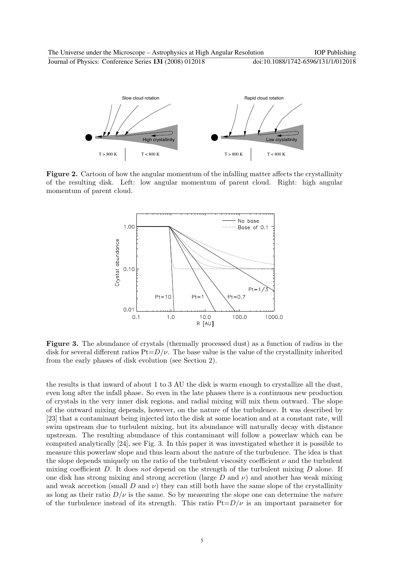

Figure 2. Cartoon of how the angular momentum of the infalling matter affects the crystallinity of the resulting disk. Left: low angular momentum of parent cloud. Right: high angular momentum of parent cloud.



Figure 3. The abundance of crystals (thermally processed dust) as a function of radius in the disk for several different ratios  $Pt=D/\nu$ . The base value is the value of the crystallinity inherited from the early phases of disk evolution (see Section 2).

the results is that inward of about 1 to 3 AU the disk is warm enough to crystallize all the dust, even long after the infall phase. So even in the late phases there is a continuous new production of crystals in the very inner disk regions, and radial mixing will mix them outward. The slope of the outward mixing depends, however, on the nature of the turbulence. It was described by [23] that a contaminant being injected into the disk at some location and at a constant rate, will swim upstream due to turbulent mixing, but its abundance will naturally decay with distance upstream. The resulting abundance of this contaminant will follow a powerlaw which can be computed analytically [24], see Fig. 3. In this paper it was investigated whether it is possible to measure this powerlaw slope and thus learn about the nature of the turbulence. The idea is that the slope depends uniquely on the ratio of the turbulent viscosity coefficient  $\nu$  and the turbulent mixing coefficient D. It does *not* depend on the strength of the turbulent mixing D alone. If one disk has strong mixing and strong accretion (large D and  $\nu$ ) and another has weak mixing and weak accretion (small D and  $\nu$ ) they can still both have the same slope of the crystallinity as long as their ratio D/ν is the same. So by measuring the slope one can determine the *nature* of the turbulence instead of its strength. This ratio  $Pt=D/\nu$  is an important parameter for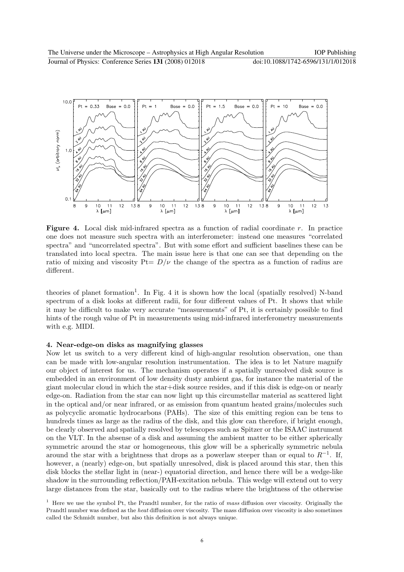

Figure 4. Local disk mid-infrared spectra as a function of radial coordinate r. In practice one does not measure such spectra with an interferometer: instead one measures "correlated spectra" and "uncorrelated spectra". But with some effort and sufficient baselines these can be translated into local spectra. The main issue here is that one can see that depending on the ratio of mixing and viscosity Pt=  $D/\nu$  the change of the spectra as a function of radius are different.

theories of planet formation<sup>1</sup>. In Fig. 4 it is shown how the local (spatially resolved) N-band spectrum of a disk looks at different radii, for four different values of Pt. It shows that while it may be difficult to make very accurate "measurements" of Pt, it is certainly possible to find hints of the rough value of Pt in measurements using mid-infrared interferometry measurements with e.g. MIDI.

#### 4. Near-edge-on disks as magnifying glasses

Now let us switch to a very different kind of high-angular resolution observation, one than can be made with low-angular resolution instrumentation. The idea is to let Nature magnify our object of interest for us. The mechanism operates if a spatially unresolved disk source is embedded in an environment of low density dusty ambient gas, for instance the material of the giant molecular cloud in which the star+disk source resides, and if this disk is edge-on or nearly edge-on. Radiation from the star can now light up this circumstellar material as scattered light in the optical and/or near infrared, or as emission from quantum heated grains/molecules such as polycyclic aromatic hydrocarbons (PAHs). The size of this emitting region can be tens to hundreds times as large as the radius of the disk, and this glow can therefore, if bright enough, be clearly observed and spatially resolved by telescopes such as Spitzer or the ISAAC instrument on the VLT. In the absense of a disk and assuming the ambient matter to be either spherically symmetric around the star or homogeneous, this glow will be a spherically symmetric nebula around the star with a brightness that drops as a powerlaw steeper than or equal to  $R^{-1}$ . If, however, a (nearly) edge-on, but spatially unresolved, disk is placed around this star, then this disk blocks the stellar light in (near-) equatorial direction, and hence there will be a wedge-like shadow in the surrounding reflection/PAH-excitation nebula. This wedge will extend out to very large distances from the star, basically out to the radius where the brightness of the otherwise

<sup>1</sup> Here we use the symbol Pt, the Prandtl number, for the ratio of *mass* diffusion over viscosity. Originally the Prandtl number was defined as the *heat* diffusion over viscosity. The mass diffusion over viscosity is also sometimes called the Schmidt number, but also this definition is not always unique.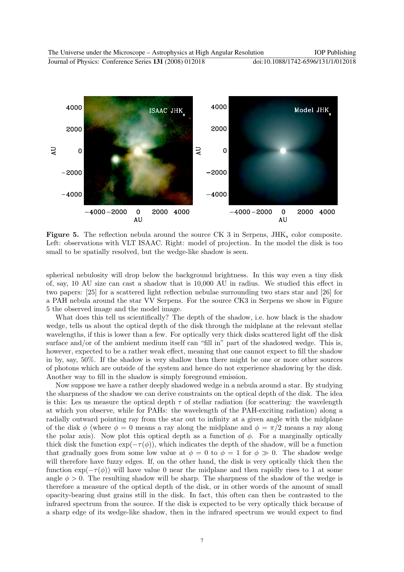

Figure 5. The reflection nebula around the source CK 3 in Serpens, JHK<sub>s</sub> color composite. Left: observations with VLT ISAAC. Right: model of projection. In the model the disk is too small to be spatially resolved, but the wedge-like shadow is seen.

spherical nebulosity will drop below the background brightness. In this way even a tiny disk of, say, 10 AU size can cast a shadow that is 10,000 AU in radius. We studied this effect in two papers: [25] for a scattered light reflection nebulae surrounding two stars star and [26] for a PAH nebula around the star VV Serpens. For the source CK3 in Serpens we show in Figure 5 the observed image and the model image.

What does this tell us scientifically? The depth of the shadow, i.e. how black is the shadow wedge, tells us about the optical depth of the disk through the midplane at the relevant stellar wavelengths, if this is lower than a few. For optically very thick disks scattered light off the disk surface and/or of the ambient medium itself can "fill in" part of the shadowed wedge. This is, however, expected to be a rather weak effect, meaning that one cannot expect to fill the shadow in by, say, 50%. If the shadow is very shallow then there might be one or more other sources of photons which are outside of the system and hence do not experience shadowing by the disk. Another way to fill in the shadow is simply foreground emission.

Now suppose we have a rather deeply shadowed wedge in a nebula around a star. By studying the sharpness of the shadow we can derive constraints on the optical depth of the disk. The idea is this: Les us measure the optical depth  $\tau$  of stellar radiation (for scattering: the wavelength at which you observe, while for PAHs: the wavelength of the PAH-exciting radiation) along a radially outward pointing ray from the star out to infinity at a given angle with the midplane of the disk  $\phi$  (where  $\phi = 0$  means a ray along the midplane and  $\phi = \pi/2$  means a ray along the polar axis). Now plot this optical depth as a function of  $\phi$ . For a marginally optically thick disk the function  $\exp(-\tau(\phi))$ , which indicates the depth of the shadow, will be a function that gradually goes from some low value at  $\phi = 0$  to  $\phi = 1$  for  $\phi \gg 0$ . The shadow wedge will therefore have fuzzy edges. If, on the other hand, the disk is very optically thick then the function  $\exp(-\tau(\phi))$  will have value 0 near the midplane and then rapidly rises to 1 at some angle  $\phi > 0$ . The resulting shadow will be sharp. The sharpness of the shadow of the wedge is therefore a measure of the optical depth of the disk, or in other words of the amount of small opacity-bearing dust grains still in the disk. In fact, this often can then be contrasted to the infrared spectrum from the source. If the disk is expected to be very optically thick because of a sharp edge of its wedge-like shadow, then in the infrared spectrum we would expect to find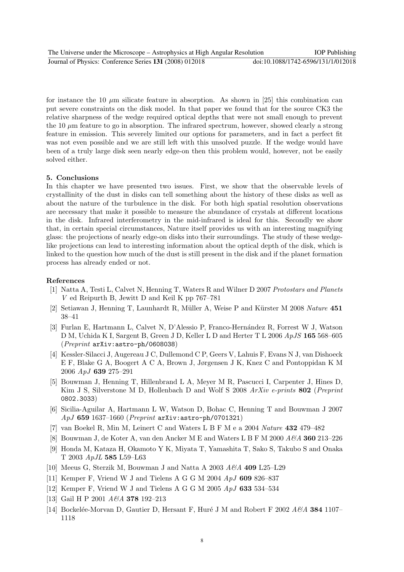| The Universe under the Microscope – Astrophysics at High Angular Resolution |                                    | <b>IOP</b> Publishing |
|-----------------------------------------------------------------------------|------------------------------------|-----------------------|
| Journal of Physics: Conference Series 131 (2008) 012018                     | doi:10.1088/1742-6596/131/1/012018 |                       |

for instance the 10  $\mu$ m silicate feature in absorption. As shown in [25] this combination can put severe constraints on the disk model. In that paper we found that for the source CK3 the relative sharpness of the wedge required optical depths that were not small enough to prevent the 10  $\mu$ m feature to go in absorption. The infrared spectrum, however, showed clearly a strong feature in emission. This severely limited our options for parameters, and in fact a perfect fit was not even possible and we are still left with this unsolved puzzle. If the wedge would have been of a truly large disk seen nearly edge-on then this problem would, however, not be easily solved either.

#### 5. Conclusions

In this chapter we have presented two issues. First, we show that the observable levels of crystallinity of the dust in disks can tell something about the history of these disks as well as about the nature of the turbulence in the disk. For both high spatial resolution observations are necessary that make it possible to measure the abundance of crystals at different locations in the disk. Infrared interferometry in the mid-infrared is ideal for this. Secondly we show that, in certain special circumstances, Nature itself provides us with an interesting magnifying glass: the projections of nearly edge-on disks into their surroundings. The study of these wedgelike projections can lead to interesting information about the optical depth of the disk, which is linked to the question how much of the dust is still present in the disk and if the planet formation process has already ended or not.

# References

- [1] Natta A, Testi L, Calvet N, Henning T, Waters R and Wilner D 2007 *Protostars and Planets V* ed Reipurth B, Jewitt D and Keil K pp 767–781
- [2] Setiawan J, Henning T, Launhardt R, Müller A, Weise P and Kürster M 2008 *Nature* 451 38–41
- [3] Furlan E, Hartmann L, Calvet N, D'Alessio P, Franco-Hernández R, Forrest W J, Watson D M, Uchida K I, Sargent B, Green J D, Keller L D and Herter T L 2006 *ApJS* 165 568–605 (*Preprint* arXiv:astro-ph/0608038)
- [4] Kessler-Silacci J, Augereau J C, Dullemond C P, Geers V, Lahuis F, Evans N J, van Dishoeck E F, Blake G A, Boogert A C A, Brown J, Jørgensen J K, Knez C and Pontoppidan K M 2006 *ApJ* 639 275–291
- [5] Bouwman J, Henning T, Hillenbrand L A, Meyer M R, Pascucci I, Carpenter J, Hines D, Kim J S, Silverstone M D, Hollenbach D and Wolf S 2008 *ArXiv e-prints* 802 (*Preprint* 0802.3033)
- [6] Sicilia-Aguilar A, Hartmann L W, Watson D, Bohac C, Henning T and Bouwman J 2007 *ApJ* 659 1637–1660 (*Preprint* arXiv:astro-ph/0701321)
- [7] van Boekel R, Min M, Leinert C and Waters L B F M e a 2004 *Nature* 432 479–482
- [8] Bouwman J, de Koter A, van den Ancker M E and Waters L B F M 2000 *A&A* 360 213–226
- [9] Honda M, Kataza H, Okamoto Y K, Miyata T, Yamashita T, Sako S, Takubo S and Onaka T 2003 *ApJL* 585 L59–L63
- [10] Meeus G, Sterzik M, Bouwman J and Natta A 2003 *A&A* 409 L25–L29
- [11] Kemper F, Vriend W J and Tielens A G G M 2004 *ApJ* 609 826–837
- [12] Kemper F, Vriend W J and Tielens A G G M 2005 *ApJ* 633 534–534
- [13] Gail H P 2001 *A&A* 378 192–213
- [14] Bockelée-Morvan D, Gautier D, Hersant F, Huré J M and Robert F 2002 *A&A* 384 1107– 1118